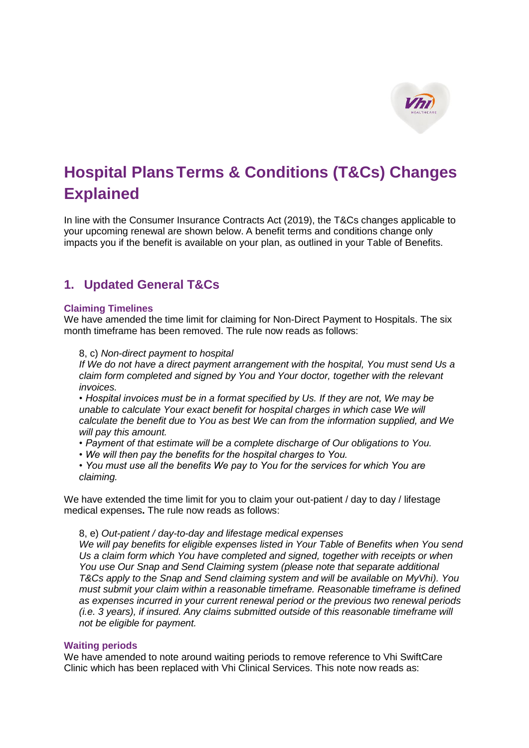

# **Hospital PlansTerms & Conditions (T&Cs) Changes Explained**

In line with the Consumer Insurance Contracts Act (2019), the T&Cs changes applicable to your upcoming renewal are shown below. A benefit terms and conditions change only impacts you if the benefit is available on your plan, as outlined in your Table of Benefits.

# **1. Updated General T&Cs**

#### **Claiming Timelines**

We have amended the time limit for claiming for Non-Direct Payment to Hospitals. The six month timeframe has been removed. The rule now reads as follows:

#### 8, c) *Non-direct payment to hospital*

*If We do not have a direct payment arrangement with the hospital, You must send Us a claim form completed and signed by You and Your doctor, together with the relevant invoices.*

*• Hospital invoices must be in a format specified by Us. If they are not, We may be unable to calculate Your exact benefit for hospital charges in which case We will calculate the benefit due to You as best We can from the information supplied, and We will pay this amount.*

*• Payment of that estimate will be a complete discharge of Our obligations to You.*

*• We will then pay the benefits for the hospital charges to You.*

*• You must use all the benefits We pay to You for the services for which You are claiming.*

We have extended the time limit for you to claim your out-patient / day to day / lifestage medical expenses**.** The rule now reads as follows:

#### 8, e) *Out-patient / day-to-day and lifestage medical expenses*

*We will pay benefits for eligible expenses listed in Your Table of Benefits when You send Us a claim form which You have completed and signed, together with receipts or when You use Our Snap and Send Claiming system (please note that separate additional T&Cs apply to the Snap and Send claiming system and will be available on MyVhi). You must submit your claim within a reasonable timeframe. Reasonable timeframe is defined as expenses incurred in your current renewal period or the previous two renewal periods (i.e. 3 years), if insured. Any claims submitted outside of this reasonable timeframe will not be eligible for payment.*

#### **Waiting periods**

We have amended to note around waiting periods to remove reference to Vhi SwiftCare Clinic which has been replaced with Vhi Clinical Services. This note now reads as: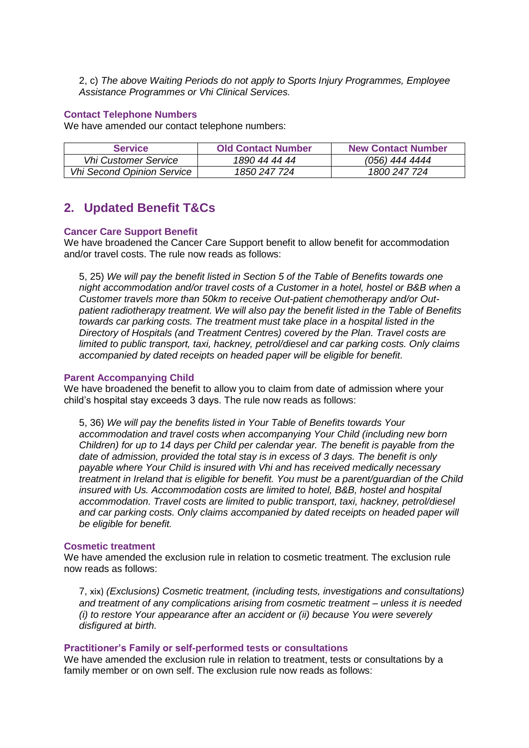2, c) *The above Waiting Periods do not apply to Sports Injury Programmes, Employee Assistance Programmes or Vhi Clinical Services.*

#### **Contact Telephone Numbers**

We have amended our contact telephone numbers:

| <b>Service</b>                    | <b>Old Contact Number</b> | <b>New Contact Number</b> |
|-----------------------------------|---------------------------|---------------------------|
| <b>Vhi Customer Service</b>       | 1890 44 44 44             | (056) 444 4444            |
| <b>Vhi Second Opinion Service</b> | 1850 247 724              | 1800 247 724              |

## **2. Updated Benefit T&Cs**

#### **Cancer Care Support Benefit**

We have broadened the Cancer Care Support benefit to allow benefit for accommodation and/or travel costs. The rule now reads as follows:

5, 25) *We will pay the benefit listed in Section 5 of the Table of Benefits towards one night accommodation and/or travel costs of a Customer in a hotel, hostel or B&B when a Customer travels more than 50km to receive Out-patient chemotherapy and/or Outpatient radiotherapy treatment. We will also pay the benefit listed in the Table of Benefits towards car parking costs. The treatment must take place in a hospital listed in the Directory of Hospitals (and Treatment Centres) covered by the Plan. Travel costs are limited to public transport, taxi, hackney, petrol/diesel and car parking costs. Only claims accompanied by dated receipts on headed paper will be eligible for benefit.*

#### **Parent Accompanying Child**

We have broadened the benefit to allow you to claim from date of admission where your child's hospital stay exceeds 3 days. The rule now reads as follows:

5, 36) *We will pay the benefits listed in Your Table of Benefits towards Your accommodation and travel costs when accompanying Your Child (including new born Children) for up to 14 days per Child per calendar year. The benefit is payable from the date of admission, provided the total stay is in excess of 3 days. The benefit is only payable where Your Child is insured with Vhi and has received medically necessary treatment in Ireland that is eligible for benefit. You must be a parent/guardian of the Child insured with Us. Accommodation costs are limited to hotel, B&B, hostel and hospital accommodation. Travel costs are limited to public transport, taxi, hackney, petrol/diesel*  and car parking costs. Only claims accompanied by dated receipts on headed paper will *be eligible for benefit.*

#### **Cosmetic treatment**

We have amended the exclusion rule in relation to cosmetic treatment. The exclusion rule now reads as follows:

7, xix) *(Exclusions) Cosmetic treatment, (including tests, investigations and consultations) and treatment of any complications arising from cosmetic treatment – unless it is needed (i) to restore Your appearance after an accident or (ii) because You were severely disfigured at birth.*

#### **Practitioner's Family or self-performed tests or consultations**

We have amended the exclusion rule in relation to treatment, tests or consultations by a family member or on own self. The exclusion rule now reads as follows: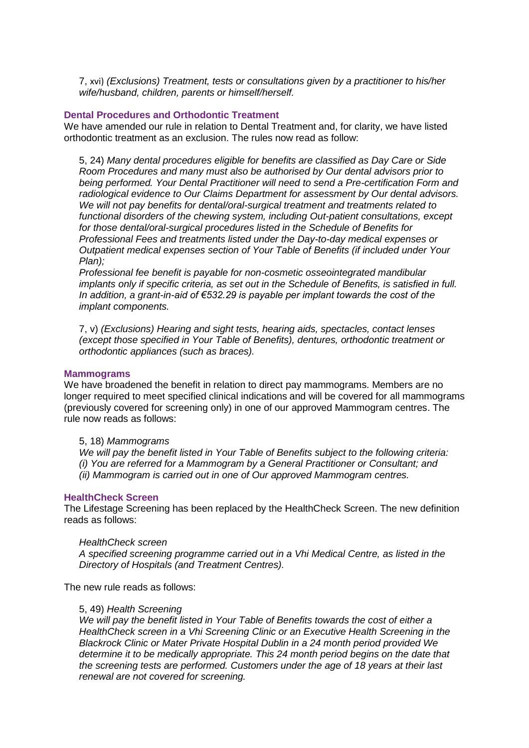7, xvi) *(Exclusions) Treatment, tests or consultations given by a practitioner to his/her wife/husband, children, parents or himself/herself.*

#### **Dental Procedures and Orthodontic Treatment**

We have amended our rule in relation to Dental Treatment and, for clarity, we have listed orthodontic treatment as an exclusion. The rules now read as follow:

5, 24) *Many dental procedures eligible for benefits are classified as Day Care or Side Room Procedures and many must also be authorised by Our dental advisors prior to being performed. Your Dental Practitioner will need to send a Pre-certification Form and radiological evidence to Our Claims Department for assessment by Our dental advisors. We will not pay benefits for dental/oral-surgical treatment and treatments related to functional disorders of the chewing system, including Out-patient consultations, except for those dental/oral-surgical procedures listed in the Schedule of Benefits for Professional Fees and treatments listed under the Day-to-day medical expenses or Outpatient medical expenses section of Your Table of Benefits (if included under Your Plan);*

*Professional fee benefit is payable for non-cosmetic osseointegrated mandibular implants only if specific criteria, as set out in the Schedule of Benefits, is satisfied in full. In addition, a grant-in-aid of €532.29 is payable per implant towards the cost of the implant components.*

7, v) *(Exclusions) Hearing and sight tests, hearing aids, spectacles, contact lenses (except those specified in Your Table of Benefits), dentures, orthodontic treatment or orthodontic appliances (such as braces).*

#### **Mammograms**

We have broadened the benefit in relation to direct pay mammograms. Members are no longer required to meet specified clinical indications and will be covered for all mammograms (previously covered for screening only) in one of our approved Mammogram centres. The rule now reads as follows:

#### 5, 18) *Mammograms*

*We will pay the benefit listed in Your Table of Benefits subject to the following criteria: (i) You are referred for a Mammogram by a General Practitioner or Consultant; and (ii) Mammogram is carried out in one of Our approved Mammogram centres.*

#### **HealthCheck Screen**

The Lifestage Screening has been replaced by the HealthCheck Screen. The new definition reads as follows:

#### *HealthCheck screen*

*A specified screening programme carried out in a Vhi Medical Centre, as listed in the Directory of Hospitals (and Treatment Centres).*

The new rule reads as follows:

#### 5, 49) *Health Screening*

*We will pay the benefit listed in Your Table of Benefits towards the cost of either a HealthCheck screen in a Vhi Screening Clinic or an Executive Health Screening in the Blackrock Clinic or Mater Private Hospital Dublin in a 24 month period provided We determine it to be medically appropriate. This 24 month period begins on the date that the screening tests are performed. Customers under the age of 18 years at their last renewal are not covered for screening.*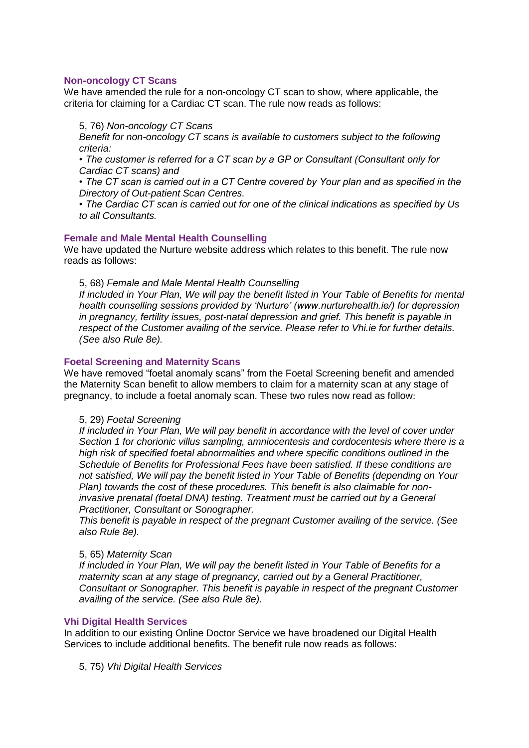#### **Non-oncology CT Scans**

We have amended the rule for a non-oncology CT scan to show, where applicable, the criteria for claiming for a Cardiac CT scan. The rule now reads as follows:

#### 5, 76) *Non-oncology CT Scans*

*Benefit for non-oncology CT scans is available to customers subject to the following criteria:* 

*• The customer is referred for a CT scan by a GP or Consultant (Consultant only for Cardiac CT scans) and* 

*• The CT scan is carried out in a CT Centre covered by Your plan and as specified in the Directory of Out-patient Scan Centres.*

*• The Cardiac CT scan is carried out for one of the clinical indications as specified by Us to all Consultants.*

#### **Female and Male Mental Health Counselling**

We have updated the Nurture website address which relates to this benefit. The rule now reads as follows:

5, 68) *Female and Male Mental Health Counselling*

*If included in Your Plan, We will pay the benefit listed in Your Table of Benefits for mental health counselling sessions provided by 'Nurture' (www.nurturehealth.ie/) for depression in pregnancy, fertility issues, post-natal depression and grief. This benefit is payable in respect of the Customer availing of the service. Please refer to Vhi.ie for further details. (See also Rule 8e).*

#### **Foetal Screening and Maternity Scans**

We have removed "foetal anomaly scans" from the Foetal Screening benefit and amended the Maternity Scan benefit to allow members to claim for a maternity scan at any stage of pregnancy, to include a foetal anomaly scan. These two rules now read as follow:

#### 5, 29) *Foetal Screening*

*If included in Your Plan, We will pay benefit in accordance with the level of cover under Section 1 for chorionic villus sampling, amniocentesis and cordocentesis where there is a high risk of specified foetal abnormalities and where specific conditions outlined in the Schedule of Benefits for Professional Fees have been satisfied. If these conditions are not satisfied, We will pay the benefit listed in Your Table of Benefits (depending on Your Plan) towards the cost of these procedures. This benefit is also claimable for noninvasive prenatal (foetal DNA) testing. Treatment must be carried out by a General Practitioner, Consultant or Sonographer.*

*This benefit is payable in respect of the pregnant Customer availing of the service. (See also Rule 8e).*

#### 5, 65) *Maternity Scan*

*If included in Your Plan, We will pay the benefit listed in Your Table of Benefits for a maternity scan at any stage of pregnancy, carried out by a General Practitioner, Consultant or Sonographer. This benefit is payable in respect of the pregnant Customer availing of the service. (See also Rule 8e).*

#### **Vhi Digital Health Services**

In addition to our existing Online Doctor Service we have broadened our Digital Health Services to include additional benefits. The benefit rule now reads as follows:

5, 75) *Vhi Digital Health Services*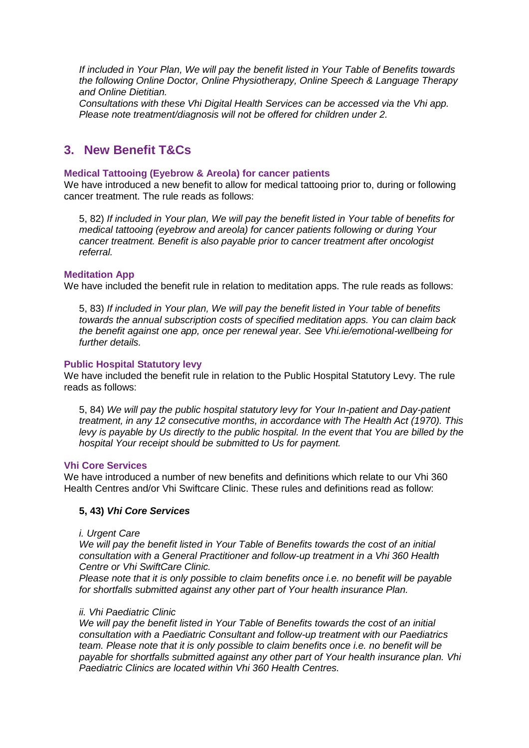*If included in Your Plan, We will pay the benefit listed in Your Table of Benefits towards the following Online Doctor, Online Physiotherapy, Online Speech & Language Therapy and Online Dietitian.* 

*Consultations with these Vhi Digital Health Services can be accessed via the Vhi app. Please note treatment/diagnosis will not be offered for children under 2.*

### **3. New Benefit T&Cs**

#### **Medical Tattooing (Eyebrow & Areola) for cancer patients**

We have introduced a new benefit to allow for medical tattooing prior to, during or following cancer treatment. The rule reads as follows:

5, 82) *If included in Your plan, We will pay the benefit listed in Your table of benefits for medical tattooing (eyebrow and areola) for cancer patients following or during Your cancer treatment. Benefit is also payable prior to cancer treatment after oncologist referral.*

#### **Meditation App**

We have included the benefit rule in relation to meditation apps. The rule reads as follows:

5, 83) *If included in Your plan, We will pay the benefit listed in Your table of benefits towards the annual subscription costs of specified meditation apps. You can claim back the benefit against one app, once per renewal year. See Vhi.ie/emotional-wellbeing for further details.*

#### **Public Hospital Statutory levy**

We have included the benefit rule in relation to the Public Hospital Statutory Levy. The rule reads as follows:

5, 84) *We will pay the public hospital statutory levy for Your In-patient and Day-patient treatment, in any 12 consecutive months, in accordance with The Health Act (1970). This levy is payable by Us directly to the public hospital. In the event that You are billed by the hospital Your receipt should be submitted to Us for payment.*

#### **Vhi Core Services**

We have introduced a number of new benefits and definitions which relate to our Vhi 360 Health Centres and/or Vhi Swiftcare Clinic. These rules and definitions read as follow:

#### **5, 43)** *Vhi Core Services*

#### *i. Urgent Care*

*We will pay the benefit listed in Your Table of Benefits towards the cost of an initial consultation with a General Practitioner and follow-up treatment in a Vhi 360 Health Centre or Vhi SwiftCare Clinic.* 

*Please note that it is only possible to claim benefits once i.e. no benefit will be payable for shortfalls submitted against any other part of Your health insurance Plan.*

#### *ii. Vhi Paediatric Clinic*

*We will pay the benefit listed in Your Table of Benefits towards the cost of an initial consultation with a Paediatric Consultant and follow-up treatment with our Paediatrics team. Please note that it is only possible to claim benefits once i.e. no benefit will be payable for shortfalls submitted against any other part of Your health insurance plan. Vhi Paediatric Clinics are located within Vhi 360 Health Centres.*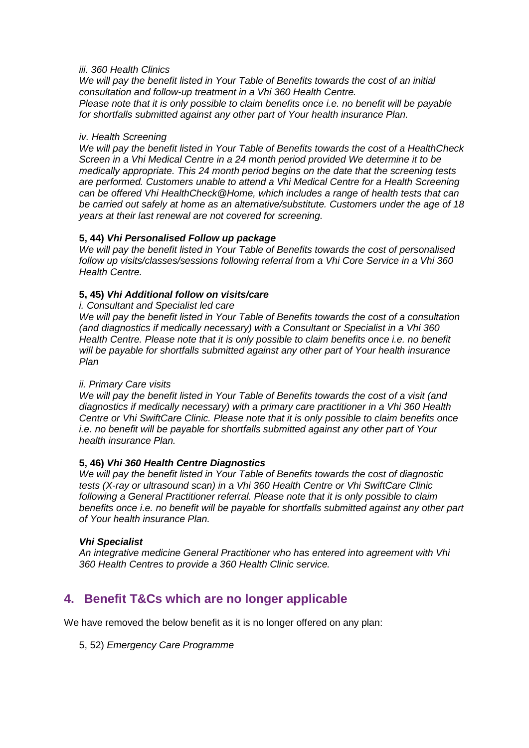#### *iii. 360 Health Clinics*

*We will pay the benefit listed in Your Table of Benefits towards the cost of an initial consultation and follow-up treatment in a Vhi 360 Health Centre. Please note that it is only possible to claim benefits once i.e. no benefit will be payable for shortfalls submitted against any other part of Your health insurance Plan.*

#### *iv. Health Screening*

*We will pay the benefit listed in Your Table of Benefits towards the cost of a HealthCheck Screen in a Vhi Medical Centre in a 24 month period provided We determine it to be medically appropriate. This 24 month period begins on the date that the screening tests are performed. Customers unable to attend a Vhi Medical Centre for a Health Screening can be offered Vhi HealthCheck@Home, which includes a range of health tests that can be carried out safely at home as an alternative/substitute. Customers under the age of 18 years at their last renewal are not covered for screening.*

#### **5, 44)** *Vhi Personalised Follow up package*

*We will pay the benefit listed in Your Table of Benefits towards the cost of personalised follow up visits/classes/sessions following referral from a Vhi Core Service in a Vhi 360 Health Centre.*

#### **5, 45)** *Vhi Additional follow on visits/care*

*i. Consultant and Specialist led care*

*We will pay the benefit listed in Your Table of Benefits towards the cost of a consultation (and diagnostics if medically necessary) with a Consultant or Specialist in a Vhi 360 Health Centre. Please note that it is only possible to claim benefits once i.e. no benefit will be payable for shortfalls submitted against any other part of Your health insurance Plan*

#### *ii. Primary Care visits*

*We will pay the benefit listed in Your Table of Benefits towards the cost of a visit (and diagnostics if medically necessary) with a primary care practitioner in a Vhi 360 Health Centre or Vhi SwiftCare Clinic. Please note that it is only possible to claim benefits once i.e. no benefit will be payable for shortfalls submitted against any other part of Your health insurance Plan.*

#### **5, 46)** *Vhi 360 Health Centre Diagnostics*

*We will pay the benefit listed in Your Table of Benefits towards the cost of diagnostic tests (X-ray or ultrasound scan) in a Vhi 360 Health Centre or Vhi SwiftCare Clinic following a General Practitioner referral. Please note that it is only possible to claim benefits once i.e. no benefit will be payable for shortfalls submitted against any other part of Your health insurance Plan.*

#### *Vhi Specialist*

*An integrative medicine General Practitioner who has entered into agreement with Vhi 360 Health Centres to provide a 360 Health Clinic service.*

# **4. Benefit T&Cs which are no longer applicable**

We have removed the below benefit as it is no longer offered on any plan:

5, 52) *Emergency Care Programme*